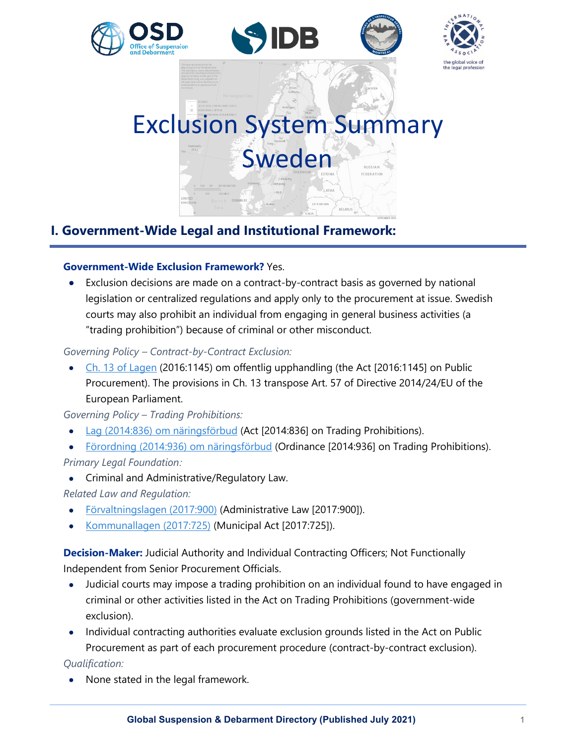







# Exclusion System Summary Sweden

# **I. Government-Wide Legal and Institutional Framework:**

# **Government-Wide Exclusion Framework?** Yes.

• Exclusion decisions are made on a contract-by-contract basis as governed by national legislation or centralized regulations and apply only to the procurement at issue. Swedish courts may also prohibit an individual from engaging in general business activities (a "trading prohibition") because of criminal or other misconduct.

# *Governing Policy – Contract-by-Contract Exclusion:*

• [Ch. 13 of Lagen](https://www.riksdagen.se/sv/dokument-lagar/dokument/svensk-forfattningssamling/lag-20161145-om-offentlig-upphandling_sfs-2016-1145) (2016:1145) om offentlig upphandling (the Act [2016:1145] on Public Procurement). The provisions in Ch. 13 transpose Art. 57 of Directive 2014/24/EU of the European Parliament.

*Governing Policy – Trading Prohibitions:* 

- [Lag \(2014:836\) om näringsförbud](https://www.riksdagen.se/sv/dokument-lagar/dokument/svensk-forfattningssamling/lag-2014836-om-naringsforbud_sfs-2014-836) (Act [2014:836] on Trading Prohibitions).
- [Förordning \(2014:936\) om näringsförbud](https://www.riksdagen.se/sv/dokument-lagar/dokument/svensk-forfattningssamling/forordning-2014936-om-naringsforbud_sfs-2014-936) (Ordinance [2014:936] on Trading Prohibitions). *Primary Legal Foundation:*
- Criminal and Administrative/Regulatory Law.

*Related Law and Regulation:* 

- [Förvaltningslagen \(2017:900\)](https://www.riksdagen.se/sv/dokument-lagar/dokument/svensk-forfattningssamling/forvaltningslag-2017900_sfs-2017-900) (Administrative Law [2017:900]).
- [Kommunallagen \(2017:725\)](https://www.riksdagen.se/sv/dokument-lagar/dokument/svensk-forfattningssamling/kommunallag-2017725_sfs-2017-725) (Municipal Act [2017:725]).

**Decision-Maker:** Judicial Authority and Individual Contracting Officers; Not Functionally Independent from Senior Procurement Officials.

- Judicial courts may impose a trading prohibition on an individual found to have engaged in criminal or other activities listed in the Act on Trading Prohibitions (government-wide exclusion).
- Individual contracting authorities evaluate exclusion grounds listed in the Act on Public Procurement as part of each procurement procedure (contract-by-contract exclusion).

*Qualification:*

• None stated in the legal framework.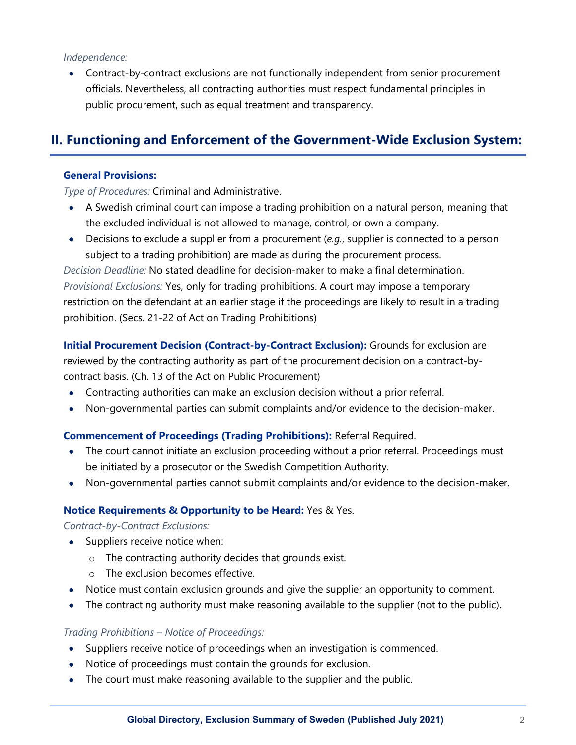#### *Independence:*

• Contract-by-contract exclusions are not functionally independent from senior procurement officials. Nevertheless, all contracting authorities must respect fundamental principles in public procurement, such as equal treatment and transparency.

# **II. Functioning and Enforcement of the Government-Wide Exclusion System:**

#### **General Provisions:**

*Type of Procedures:* Criminal and Administrative.

- A Swedish criminal court can impose a trading prohibition on a natural person, meaning that the excluded individual is not allowed to manage, control, or own a company.
- Decisions to exclude a supplier from a procurement (*e.g.*, supplier is connected to a person subject to a trading prohibition) are made as during the procurement process.

*Decision Deadline:* No stated deadline for decision-maker to make a final determination. *Provisional Exclusions:* Yes, only for trading prohibitions. A court may impose a temporary restriction on the defendant at an earlier stage if the proceedings are likely to result in a trading prohibition. (Secs. 21-22 of Act on Trading Prohibitions)

**Initial Procurement Decision (Contract-by-Contract Exclusion):** Grounds for exclusion are reviewed by the contracting authority as part of the procurement decision on a contract-bycontract basis. (Ch. 13 of the Act on Public Procurement)

- Contracting authorities can make an exclusion decision without a prior referral.
- Non-governmental parties can submit complaints and/or evidence to the decision-maker.

#### **Commencement of Proceedings (Trading Prohibitions):** Referral Required.

- The court cannot initiate an exclusion proceeding without a prior referral. Proceedings must be initiated by a prosecutor or the Swedish Competition Authority.
- Non-governmental parties cannot submit complaints and/or evidence to the decision-maker.

#### **Notice Requirements & Opportunity to be Heard:** Yes & Yes.

*Contract-by-Contract Exclusions:*

- Suppliers receive notice when:
	- o The contracting authority decides that grounds exist.
	- o The exclusion becomes effective.
- Notice must contain exclusion grounds and give the supplier an opportunity to comment.
- The contracting authority must make reasoning available to the supplier (not to the public).

#### *Trading Prohibitions – Notice of Proceedings:*

- Suppliers receive notice of proceedings when an investigation is commenced.
- Notice of proceedings must contain the grounds for exclusion.
- The court must make reasoning available to the supplier and the public.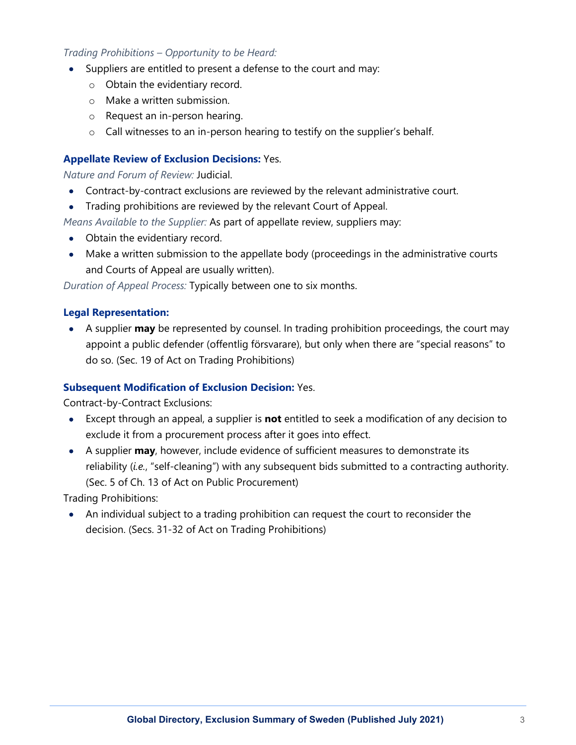### *Trading Prohibitions – Opportunity to be Heard:*

- Suppliers are entitled to present a defense to the court and may:
	- o Obtain the evidentiary record.
	- o Make a written submission.
	- o Request an in-person hearing.
	- o Call witnesses to an in-person hearing to testify on the supplier's behalf.

## **Appellate Review of Exclusion Decisions:** Yes.

*Nature and Forum of Review:* Judicial.

- Contract-by-contract exclusions are reviewed by the relevant administrative court.
- Trading prohibitions are reviewed by the relevant Court of Appeal.

*Means Available to the Supplier:* As part of appellate review, suppliers may:

- Obtain the evidentiary record.
- Make a written submission to the appellate body (proceedings in the administrative courts and Courts of Appeal are usually written).

*Duration of Appeal Process:* Typically between one to six months.

## **Legal Representation:**

• A supplier **may** be represented by counsel. In trading prohibition proceedings, the court may appoint a public defender (offentlig försvarare), but only when there are "special reasons" to do so. (Sec. 19 of Act on Trading Prohibitions)

## **Subsequent Modification of Exclusion Decision:** Yes.

Contract-by-Contract Exclusions:

- Except through an appeal, a supplier is **not** entitled to seek a modification of any decision to exclude it from a procurement process after it goes into effect.
- A supplier **may**, however, include evidence of sufficient measures to demonstrate its reliability (*i.e.*, "self-cleaning") with any subsequent bids submitted to a contracting authority. (Sec. 5 of Ch. 13 of Act on Public Procurement)

Trading Prohibitions:

• An individual subject to a trading prohibition can request the court to reconsider the decision. (Secs. 31-32 of Act on Trading Prohibitions)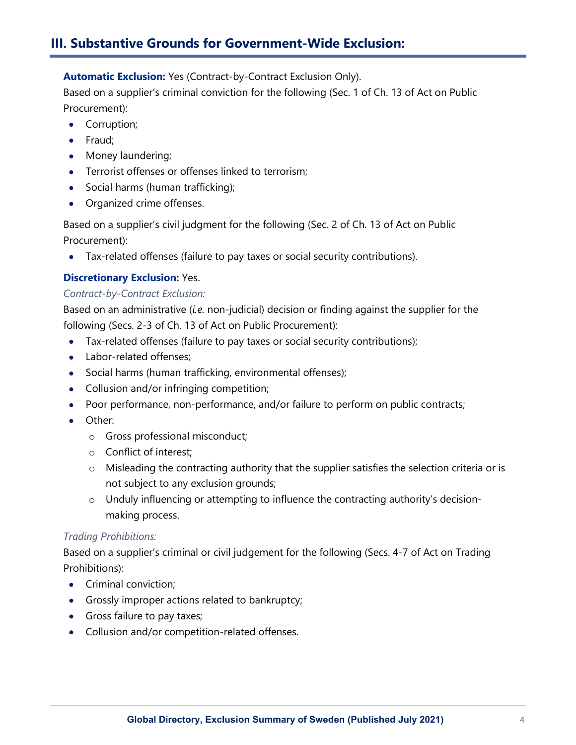# **III. Substantive Grounds for Government-Wide Exclusion:**

**Automatic Exclusion:** Yes (Contract-by-Contract Exclusion Only).

Based on a supplier's criminal conviction for the following (Sec. 1 of Ch. 13 of Act on Public Procurement):

- Corruption;
- Fraud;
- Money laundering;
- Terrorist offenses or offenses linked to terrorism;
- Social harms (human trafficking);
- Organized crime offenses.

Based on a supplier's civil judgment for the following (Sec. 2 of Ch. 13 of Act on Public Procurement):

• Tax-related offenses (failure to pay taxes or social security contributions).

## **Discretionary Exclusion:** Yes.

#### *Contract-by-Contract Exclusion:*

Based on an administrative (*i.e.* non-judicial) decision or finding against the supplier for the following (Secs. 2-3 of Ch. 13 of Act on Public Procurement):

- Tax-related offenses (failure to pay taxes or social security contributions);
- Labor-related offenses:
- Social harms (human trafficking, environmental offenses);
- Collusion and/or infringing competition;
- Poor performance, non-performance, and/or failure to perform on public contracts;
- Other:
	- o Gross professional misconduct;
	- o Conflict of interest;
	- o Misleading the contracting authority that the supplier satisfies the selection criteria or is not subject to any exclusion grounds;
	- o Unduly influencing or attempting to influence the contracting authority's decisionmaking process.

## *Trading Prohibitions:*

Based on a supplier's criminal or civil judgement for the following (Secs. 4-7 of Act on Trading Prohibitions):

- Criminal conviction;
- Grossly improper actions related to bankruptcy;
- Gross failure to pay taxes;
- Collusion and/or competition-related offenses.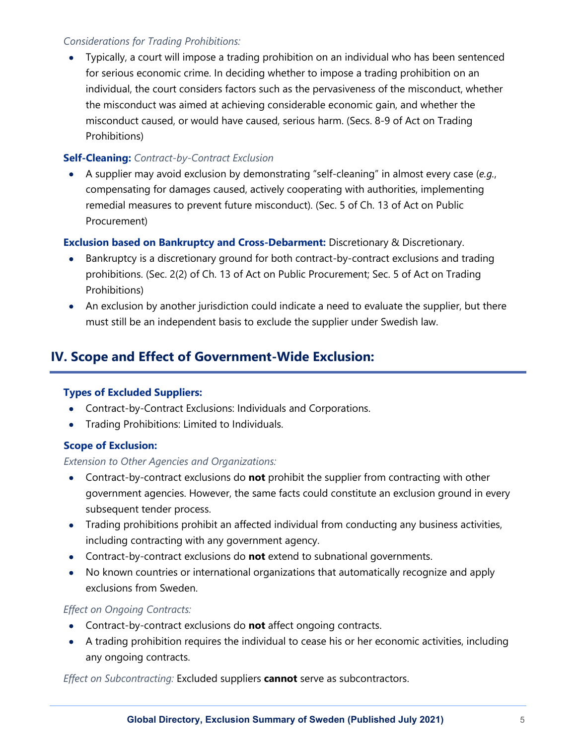# *Considerations for Trading Prohibitions:*

• Typically, a court will impose a trading prohibition on an individual who has been sentenced for serious economic crime. In deciding whether to impose a trading prohibition on an individual, the court considers factors such as the pervasiveness of the misconduct, whether the misconduct was aimed at achieving considerable economic gain, and whether the misconduct caused, or would have caused, serious harm. (Secs. 8-9 of Act on Trading Prohibitions)

## **Self-Cleaning:** *Contract-by-Contract Exclusion*

• A supplier may avoid exclusion by demonstrating "self-cleaning" in almost every case (*e.g.*, compensating for damages caused, actively cooperating with authorities, implementing remedial measures to prevent future misconduct). (Sec. 5 of Ch. 13 of Act on Public Procurement)

# **Exclusion based on Bankruptcy and Cross-Debarment:** Discretionary & Discretionary.

- Bankruptcy is a discretionary ground for both contract-by-contract exclusions and trading prohibitions. (Sec. 2(2) of Ch. 13 of Act on Public Procurement; Sec. 5 of Act on Trading Prohibitions)
- An exclusion by another jurisdiction could indicate a need to evaluate the supplier, but there must still be an independent basis to exclude the supplier under Swedish law.

# **IV. Scope and Effect of Government-Wide Exclusion:**

## **Types of Excluded Suppliers:**

- Contract-by-Contract Exclusions: Individuals and Corporations.
- Trading Prohibitions: Limited to Individuals.

## **Scope of Exclusion:**

## *Extension to Other Agencies and Organizations:*

- Contract-by-contract exclusions do **not** prohibit the supplier from contracting with other government agencies. However, the same facts could constitute an exclusion ground in every subsequent tender process.
- Trading prohibitions prohibit an affected individual from conducting any business activities, including contracting with any government agency.
- Contract-by-contract exclusions do **not** extend to subnational governments.
- No known countries or international organizations that automatically recognize and apply exclusions from Sweden.

## *Effect on Ongoing Contracts:*

- Contract-by-contract exclusions do **not** affect ongoing contracts.
- A trading prohibition requires the individual to cease his or her economic activities, including any ongoing contracts.

*Effect on Subcontracting:* Excluded suppliers **cannot** serve as subcontractors.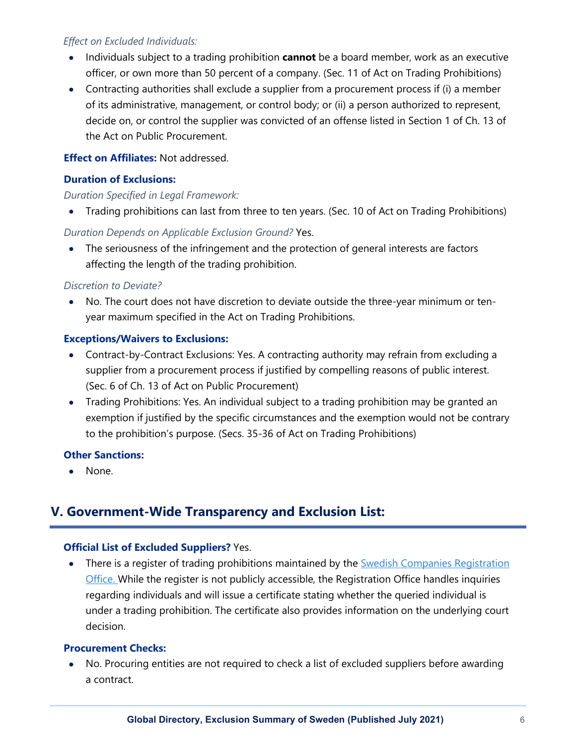## *Effect on Excluded Individuals:*

- Individuals subject to a trading prohibition **cannot** be a board member, work as an executive officer, or own more than 50 percent of a company. (Sec. 11 of Act on Trading Prohibitions)
- Contracting authorities shall exclude a supplier from a procurement process if (i) a member of its administrative, management, or control body; or (ii) a person authorized to represent, decide on, or control the supplier was convicted of an offense listed in Section 1 of Ch. 13 of the Act on Public Procurement.

## **Effect on Affiliates:** Not addressed.

## **Duration of Exclusions:**

## *Duration Specified in Legal Framework:*

• Trading prohibitions can last from three to ten years. (Sec. 10 of Act on Trading Prohibitions)

# *Duration Depends on Applicable Exclusion Ground?* Yes.

• The seriousness of the infringement and the protection of general interests are factors affecting the length of the trading prohibition.

## *Discretion to Deviate?*

• No. The court does not have discretion to deviate outside the three-year minimum or tenyear maximum specified in the Act on Trading Prohibitions.

## **Exceptions/Waivers to Exclusions:**

- Contract-by-Contract Exclusions: Yes. A contracting authority may refrain from excluding a supplier from a procurement process if justified by compelling reasons of public interest. (Sec. 6 of Ch. 13 of Act on Public Procurement)
- Trading Prohibitions: Yes. An individual subject to a trading prohibition may be granted an exemption if justified by the specific circumstances and the exemption would not be contrary to the prohibition's purpose. (Secs. 35-36 of Act on Trading Prohibitions)

## **Other Sanctions:**

• None.

# **V. Government-Wide Transparency and Exclusion List:**

## **Official List of Excluded Suppliers?** Yes.

There is a register of trading prohibitions maintained by the **Swedish Companies Registration** [Office.](https://bolagsverket.se/en/info/buy/english/prohibition-1.7364) While the register is not publicly accessible, the Registration Office handles inquiries regarding individuals and will issue a certificate stating whether the queried individual is under a trading prohibition. The certificate also provides information on the underlying court decision.

## **Procurement Checks:**

• No. Procuring entities are not required to check a list of excluded suppliers before awarding a contract.